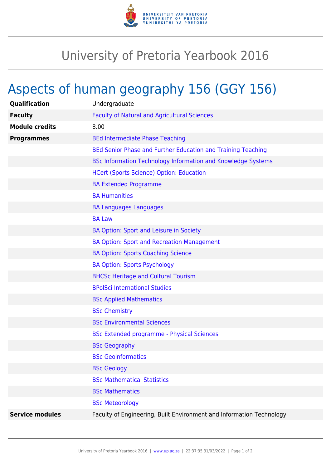

## University of Pretoria Yearbook 2016

## Aspects of human geography 156 (GGY 156)

| Qualification          | Undergraduate                                                        |
|------------------------|----------------------------------------------------------------------|
| <b>Faculty</b>         | <b>Faculty of Natural and Agricultural Sciences</b>                  |
| <b>Module credits</b>  | 8.00                                                                 |
| <b>Programmes</b>      | <b>BEd Intermediate Phase Teaching</b>                               |
|                        | BEd Senior Phase and Further Education and Training Teaching         |
|                        | BSc Information Technology Information and Knowledge Systems         |
|                        | <b>HCert (Sports Science) Option: Education</b>                      |
|                        | <b>BA Extended Programme</b>                                         |
|                        | <b>BA Humanities</b>                                                 |
|                        | <b>BA Languages Languages</b>                                        |
|                        | <b>BA Law</b>                                                        |
|                        | BA Option: Sport and Leisure in Society                              |
|                        | <b>BA Option: Sport and Recreation Management</b>                    |
|                        | <b>BA Option: Sports Coaching Science</b>                            |
|                        | <b>BA Option: Sports Psychology</b>                                  |
|                        | <b>BHCSc Heritage and Cultural Tourism</b>                           |
|                        | <b>BPolSci International Studies</b>                                 |
|                        | <b>BSc Applied Mathematics</b>                                       |
|                        | <b>BSc Chemistry</b>                                                 |
|                        | <b>BSc Environmental Sciences</b>                                    |
|                        | <b>BSc Extended programme - Physical Sciences</b>                    |
|                        | <b>BSc Geography</b>                                                 |
|                        | <b>BSc Geoinformatics</b>                                            |
|                        | <b>BSc Geology</b>                                                   |
|                        | <b>BSc Mathematical Statistics</b>                                   |
|                        | <b>BSc Mathematics</b>                                               |
|                        | <b>BSc Meteorology</b>                                               |
| <b>Service modules</b> | Faculty of Engineering, Built Environment and Information Technology |